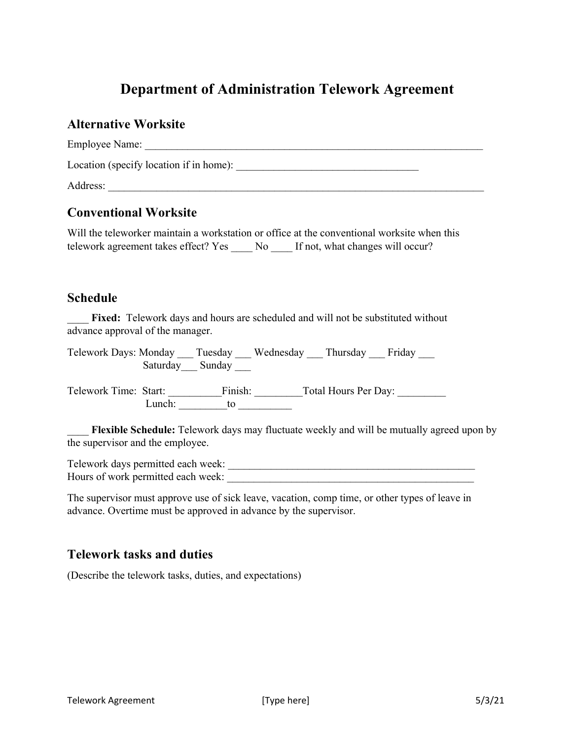# **Department of Administration Telework Agreement**

#### **Alternative Worksite**

| <b>Employee Name:</b>                   |  |
|-----------------------------------------|--|
| Location (specify location if in home): |  |
| Address:                                |  |

### **Conventional Worksite**

Will the teleworker maintain a workstation or office at the conventional worksite when this telework agreement takes effect? Yes \_\_\_\_ No \_\_\_\_ If not, what changes will occur?

#### **Schedule**

Fixed: Telework days and hours are scheduled and will not be substituted without advance approval of the manager.

Telework Days: Monday \_\_\_ Tuesday \_\_\_ Wednesday \_\_\_ Thursday \_\_\_ Friday \_\_\_ Saturday Sunday \_\_\_

Telework Time: Start: Finish: Total Hours Per Day: Lunch: to to to the to the to the to the to the to the to the to the to the to the to the to the to the to the to the to the to the to the to the to the to the to the to the to the to the to the to the to the to the to the

Flexible Schedule: Telework days may fluctuate weekly and will be mutually agreed upon by the supervisor and the employee.

Telework days permitted each week: \_\_\_\_\_\_\_\_\_\_\_\_\_\_\_\_\_\_\_\_\_\_\_\_\_\_\_\_\_\_\_\_\_\_\_\_\_\_\_\_\_\_\_\_\_\_ Hours of work permitted each week:

The supervisor must approve use of sick leave, vacation, comp time, or other types of leave in advance. Overtime must be approved in advance by the supervisor.

### **Telework tasks and duties**

(Describe the telework tasks, duties, and expectations)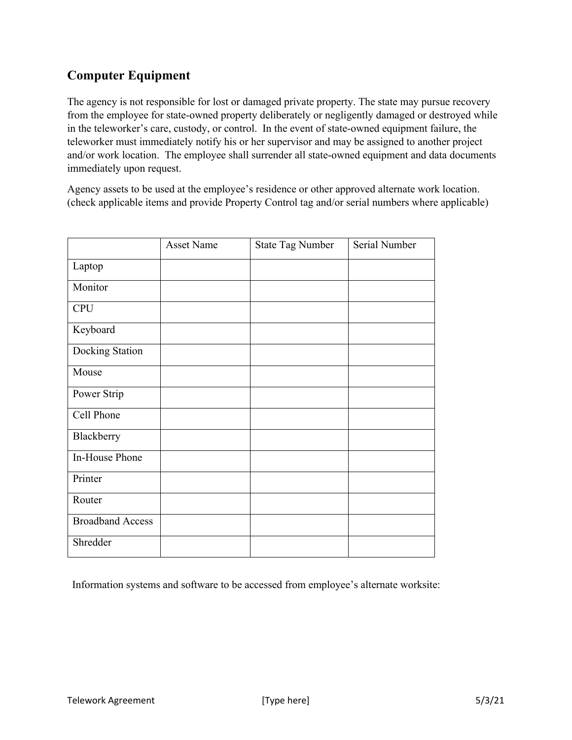## **Computer Equipment**

The agency is not responsible for lost or damaged private property. The state may pursue recovery from the employee for state-owned property deliberately or negligently damaged or destroyed while in the teleworker's care, custody, or control. In the event of state-owned equipment failure, the teleworker must immediately notify his or her supervisor and may be assigned to another project and/or work location. The employee shall surrender all state-owned equipment and data documents immediately upon request.

Agency assets to be used at the employee's residence or other approved alternate work location. (check applicable items and provide Property Control tag and/or serial numbers where applicable)

|                         | <b>Asset Name</b> | <b>State Tag Number</b> | Serial Number |
|-------------------------|-------------------|-------------------------|---------------|
| Laptop                  |                   |                         |               |
| Monitor                 |                   |                         |               |
| <b>CPU</b>              |                   |                         |               |
| Keyboard                |                   |                         |               |
| Docking Station         |                   |                         |               |
| Mouse                   |                   |                         |               |
| Power Strip             |                   |                         |               |
| Cell Phone              |                   |                         |               |
| Blackberry              |                   |                         |               |
| In-House Phone          |                   |                         |               |
| Printer                 |                   |                         |               |
| Router                  |                   |                         |               |
| <b>Broadband Access</b> |                   |                         |               |
| Shredder                |                   |                         |               |

Information systems and software to be accessed from employee's alternate worksite: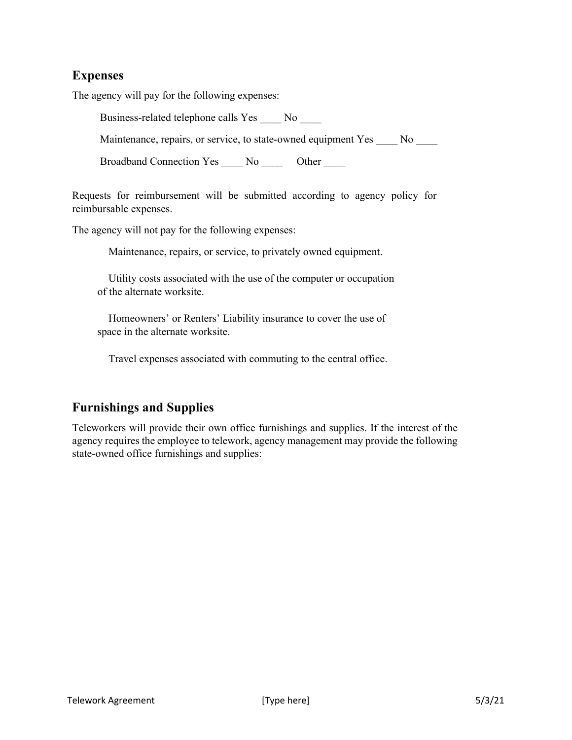### **Expenses**

The agency will pay for the following expenses:

Business-related telephone calls Yes \_\_\_\_ No \_\_\_\_

Maintenance, repairs, or service, to state-owned equipment Yes \_\_\_\_ No \_\_\_\_

Broadband Connection Yes \_\_\_\_ No \_\_\_\_\_ Other \_\_\_\_

Requests for reimbursement will be submitted according to agency policy for reimbursable expenses.

The agency will not pay for the following expenses:

Maintenance, repairs, or service, to privately owned equipment.

 Utility costs associated with the use of the computer or occupation of the alternate worksite.

 Homeowners' or Renters' Liability insurance to cover the use of space in the alternate worksite.

Travel expenses associated with commuting to the central office.

### **Furnishings and Supplies**

Teleworkers will provide their own office furnishings and supplies. If the interest of the agency requires the employee to telework, agency management may provide the following state-owned office furnishings and supplies: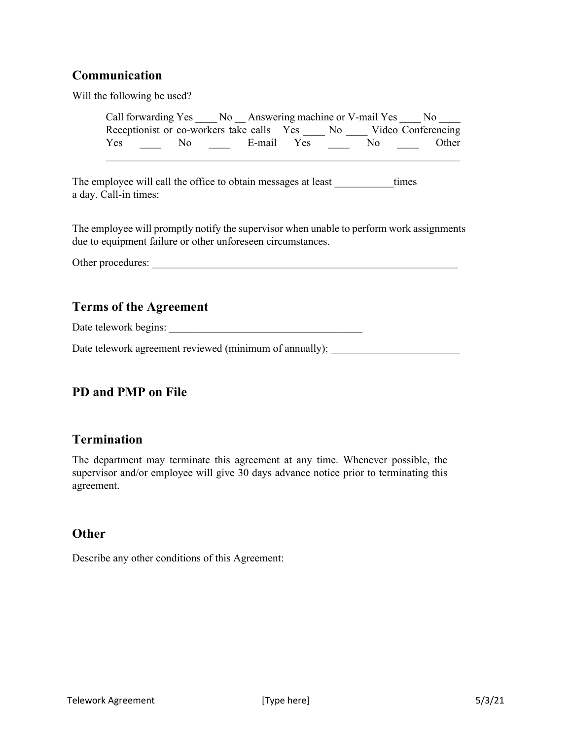### **Communication**

Will the following be used?

| Call forwarding Yes No Answering machine or V-mail Yes |     |  |            |     | No                 |
|--------------------------------------------------------|-----|--|------------|-----|--------------------|
| Receptionist or co-workers take calls Yes No           |     |  |            |     | Video Conferencing |
| Yes                                                    | No. |  | E-mail Yes | No. | Other              |
|                                                        |     |  |            |     |                    |

The employee will call the office to obtain messages at least times a day. Call-in times:

The employee will promptly notify the supervisor when unable to perform work assignments due to equipment failure or other unforeseen circumstances.

Other procedures: \_\_\_\_\_\_\_\_\_\_\_\_\_\_\_\_\_\_\_\_\_\_\_\_\_\_\_\_\_\_\_\_\_\_\_\_\_\_\_\_\_\_\_\_\_\_\_\_\_\_\_\_\_\_\_\_\_

### **Terms of the Agreement**

Date telework begins: \_\_\_\_\_\_\_\_\_\_\_\_\_\_\_\_\_\_\_\_\_\_\_\_\_\_\_\_\_\_\_\_\_\_\_\_

Date telework agreement reviewed (minimum of annually):

### **PD and PMP on File**

### **Termination**

The department may terminate this agreement at any time. Whenever possible, the supervisor and/or employee will give 30 days advance notice prior to terminating this agreement.

### **Other**

Describe any other conditions of this Agreement: